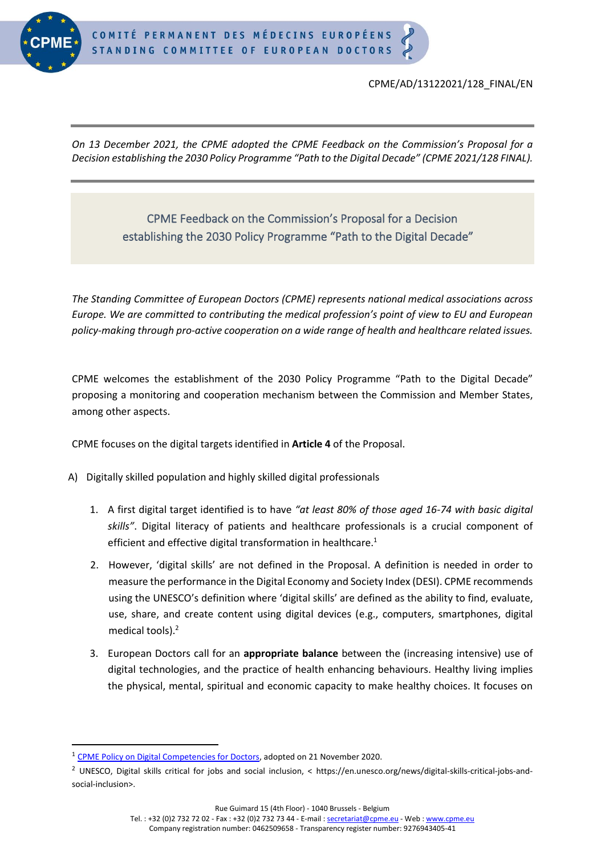

## CPME/AD/13122021/128\_FINAL/EN

*On 13 December 2021, the CPME adopted the CPME Feedback on the Commission's Proposal for a Decision establishing the 2030 Policy Programme "Path to the Digital Decade" (CPME 2021/128 FINAL).*

## CPME Feedback on the Commission's Proposal for a Decision establishing the 2030 Policy Programme "Path to the Digital Decade"

*The Standing Committee of European Doctors (CPME) represents national medical associations across Europe. We are committed to contributing the medical profession's point of view to EU and European policy-making through pro-active cooperation on a wide range of health and healthcare related issues.*

CPME welcomes the establishment of the 2030 Policy Programme "Path to the Digital Decade" proposing a monitoring and cooperation mechanism between the Commission and Member States, among other aspects.

CPME focuses on the digital targets identified in **Article 4** of the Proposal.

- A) Digitally skilled population and highly skilled digital professionals
	- 1. A first digital target identified is to have *"at least 80% of those aged 16-74 with basic digital skills"*. Digital literacy of patients and healthcare professionals is a crucial component of efficient and effective digital transformation in healthcare.<sup>1</sup>
	- 2. However, 'digital skills' are not defined in the Proposal. A definition is needed in order to measure the performance in the Digital Economy and Society Index (DESI). CPME recommends using the UNESCO's definition where 'digital skills' are defined as the ability to find, evaluate, use, share, and create content using digital devices (e.g., computers, smartphones, digital medical tools).<sup>2</sup>
	- 3. European Doctors call for an **appropriate balance** between the (increasing intensive) use of digital technologies, and the practice of health enhancing behaviours. Healthy living implies the physical, mental, spiritual and economic capacity to make healthy choices. It focuses on

Rue Guimard 15 (4th Floor) - 1040 Brussels - Belgium

<sup>&</sup>lt;sup>1</sup> [CPME Policy on Digital Competencies for Doctors,](https://www.cpme.eu/wp-content/uploads/adopted/2020/11/CPME_AD_Board_21112020_100.FINAL_.CPME_.Policy.Digital.Competencies.for_.Doctors.pdf) adopted on 21 November 2020.

<sup>2</sup> UNESCO, Digital skills critical for jobs and social inclusion, < https://en.unesco.org/news/digital-skills-critical-jobs-andsocial-inclusion>.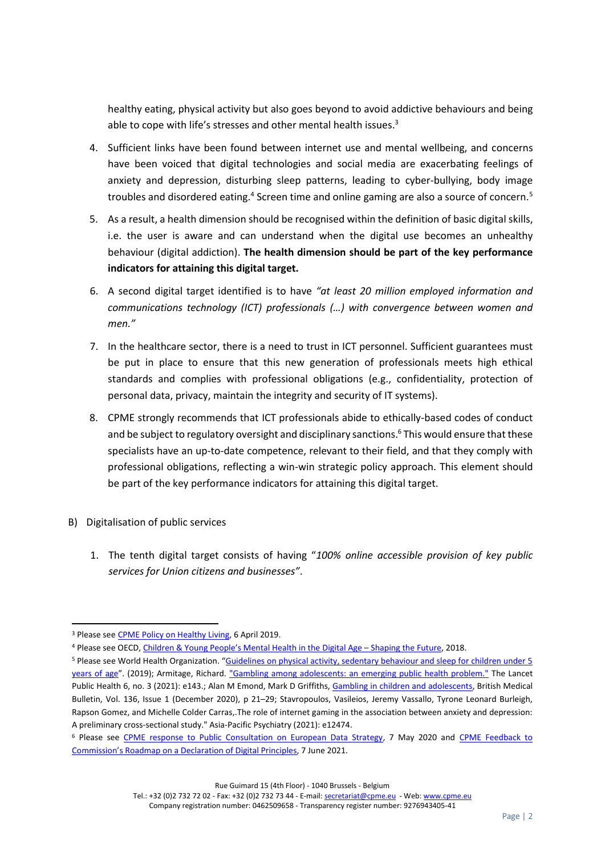healthy eating, physical activity but also goes beyond to avoid addictive behaviours and being able to cope with life's stresses and other mental health issues.<sup>3</sup>

- 4. Sufficient links have been found between internet use and mental wellbeing, and concerns have been voiced that digital technologies and social media are exacerbating feelings of anxiety and depression, disturbing sleep patterns, leading to cyber-bullying, body image troubles and disordered eating.<sup>4</sup> Screen time and online gaming are also a source of concern.<sup>5</sup>
- 5. As a result, a health dimension should be recognised within the definition of basic digital skills, i.e. the user is aware and can understand when the digital use becomes an unhealthy behaviour (digital addiction). **The health dimension should be part of the key performance indicators for attaining this digital target.**
- 6. A second digital target identified is to have *"at least 20 million employed information and communications technology (ICT) professionals (…) with convergence between women and men."*
- 7. In the healthcare sector, there is a need to trust in ICT personnel. Sufficient guarantees must be put in place to ensure that this new generation of professionals meets high ethical standards and complies with professional obligations (e.g., confidentiality, protection of personal data, privacy, maintain the integrity and security of IT systems).
- 8. CPME strongly recommends that ICT professionals abide to ethically-based codes of conduct and be subject to regulatory oversight and disciplinary sanctions. <sup>6</sup> This would ensure that these specialists have an up-to-date competence, relevant to their field, and that they comply with professional obligations, reflecting a win-win strategic policy approach. This element should be part of the key performance indicators for attaining this digital target.
- B) Digitalisation of public services
	- 1. The tenth digital target consists of having "*100% online accessible provision of key public services for Union citizens and businesses"*.

Tel.: +32 (0)2 732 72 02 - Fax: +32 (0)2 732 73 44 - E-mail[: secretariat@cpme.eu](mailto:secretariat@cpme.eu) - Web[: www.cpme.eu](http://www.cpme.eu/)

<sup>&</sup>lt;sup>3</sup> Please see **CPME Policy on Healthy Living**, 6 April 2019.

<sup>4</sup> Please see OECD, [Children & Young People's Mental Health in the](https://www.oecd.org/els/health-systems/Children-and-Young-People-Mental-Health-in-the-Digital-Age.pdf) Digital Age – Shaping the Future, 2018.

<sup>5</sup> Please see World Health Organization. "[Guidelines on physical activity, sedentary behaviour and sleep for children under 5](https://apps.who.int/iris/handle/10665/311664)  [years of age](https://apps.who.int/iris/handle/10665/311664)". (2019); Armitage, Richard. ["Gambling among adolescents: an emerging public health problem."](https://www.thelancet.com/action/showPdf?pii=S2468-2667%2821%2900026-8) The Lancet Public Health 6, no. 3 (2021): e143.; Alan M Emond, Mark D Griffiths, [Gambling in children and adolescents,](https://doi.org/10.1093/bmb/ldaa027) British Medical Bulletin, Vol. 136, Issue 1 (December 2020), p 21–29; Stavropoulos, Vasileios, Jeremy Vassallo, Tyrone Leonard Burleigh, Rapson Gomez, and Michelle Colder Carras,.The role of internet gaming in the association between anxiety and depression: A preliminary cross‐sectional study." Asia‐Pacific Psychiatry (2021): e12474.

<sup>6</sup> Please see [CPME response to Public Consultation on European Data Strategy,](https://www.cpme.eu/index.php?downloadunprotected=/uploads/adopted/2020/5/CPME_AD_EC_07052020_043_Response.public.consultation.European.Data_.Strategy.pdf) 7 May 2020 and [CPME Feedback to](https://www.cpme.eu/index.php?downloadunprotected=/uploads/adopted/2021/7/CPME_AD_07062021_056_FINAL.CPME_.Feedback.roadmap.digital.principles.pdf)  [Commission's Roadmap on a Declaration of Digital Principles](https://www.cpme.eu/index.php?downloadunprotected=/uploads/adopted/2021/7/CPME_AD_07062021_056_FINAL.CPME_.Feedback.roadmap.digital.principles.pdf), 7 June 2021.